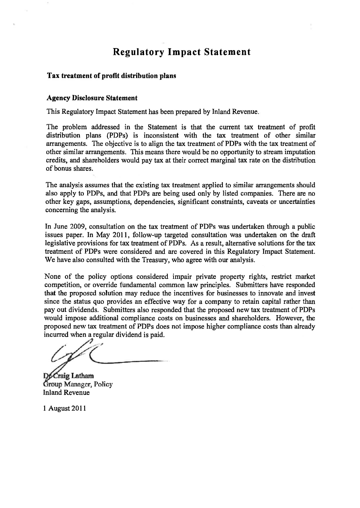# **Regulatory Impact Statement**

#### **Tax treatment of profit distribution plans**

#### **Agency Disclosure Statement**

**This Regulatory Impact Statement has been prepared by Inland Revenue.** 

**The problem addressed in the Statement is that the current tax treatment of profit distribution plans (PDPs) is inconsistent with the tax treatment of other similar arrangements. The objective is to align the tax treatment of PDPs with the tax treatment of other similar arrangements. This means there would be no opportunity to stream imputation credits, and shareholders would pay tax at their correct marginal tax rate on the distribution of bonus shares.** 

**The analysis assumes that the existing tax treatment applied to similar arrangements should also apply to PDPs, and that PDPs are being used only by listed companies. There are no other key gaps, assumptions, dependencies, significant constraints, caveats or uncertainties concerning the analysis.** 

**In June 2009, consultation on the tax treatment of PDPs was undertaken through a public issues paper. In May 2011, follow-up targeted consultation was undertaken on the draft legislative provisions for tax treatment of PDPs. As a result, alternative solutions for the tax treatment of PDPs were considered and are covered in this Regulatory Impact Statement. We have also consulted with the Treasury, who agree with our analysis.** 

**None of the policy options considered impair private property rights, restrict market competition, or override fundamental common law principles. Submitters have responded that the proposed solution may reduce the incentives for businesses to innovate and invest since the status quo provides an effective way for a company to retain capital rather than pay out dividends. Submitters also responded that the proposed new tax treatment of PDPs would impose additional compliance costs on businesses and shareholders. However, the proposed new tax treatment of PDPs does not impose higher compliance costs than already incurred when a regular dividend is paid.** 

**Craig Latham** Group Manager, Policy **Inland Revenue** 

**1 August 2011**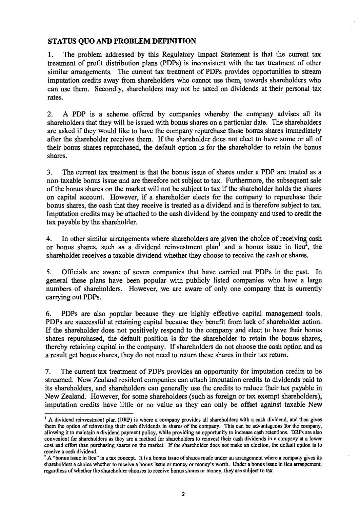# **STATUS QUO AND PROBLEM DEFINITION**

**1. The problem addressed by this Regulatory Impact Statement is that the current tax treatment of profit distribution plans (PDPs) is inconsistent with the tax treatment of other similar arrangements. The current tax treatment of PDPs provides opportunities to stream imputation credits away from shareholders who cannot use them, towards shareholders who can use them. Secondly, shareholders may not be taxed on dividends at their personal tax rates.** 

**2. A PDP is a scheme offered by companies whereby the company advises all its shareholders that they will be issued with bonus shares on a particular date. The shareholders are asked if they would like to have the company repurchase those bonus shares immediately after the shareholder receives them. If the shareholder does not elect to have some or all of their bonus shares repurchased, the default option is for the shareholder to retain the bonus shares.** 

**3. The current tax treatment is that the bonus issue of shares under a PDP are treated as a non-taxable bonus issue and are therefore not subject to tax. Furthermore, the subsequent sale of the bonus shares on the market will not be subject to tax if the shareholder holds the shares on capital account. However, if a shareholder elects for the company to repurchase their bonus shares, the cash that they receive is treated as a dividend and is therefore subject to tax. Imputation credits may be attached to the cash dividend by the company and used to credit the tax payable by the shareholder.** 

**4. In other similar arrangements where shareholders are given the choice of receiving cash or bonus shares, such as a dividend reinvestment plan<sup>1</sup> and a bonus issue in lieu<sup>2</sup> , the shareholder receives a taxable dividend whether they choose to receive the cash or shares.** 

**5. Officials are aware of seven companies that have carried out PDPs in the past. In general these plans have been popular with publicly listed companies who have a large numbers of shareholders. However, we are aware of only one company that is currently carrying out PDPs.** 

**6. PDPs are also popular because they are highly effective capital management tools. PDPs are successful at retaining capital because they benefit from lack of shareholder action. If the shareholder does not positively respond to the company and elect to have their bonus shares repurchased, the default position is for the shareholder to retain the bonus shares, thereby retaining capital in the company. If shareholders do not choose the cash option and as a result get bonus shares, they do not need to return these shares in their tax return.** 

**7. The current tax treatment of PDPs provides an opportunity for imputation credits to be streamed, New Zealand resident companies can attach imputation credits to dividends paid to its shareholders, and shareholders can generally use the credits to reduce their tax payable in New Zealand. However, for some shareholders (such as foreign or tax exempt shareholders), imputation credits have little or no value as they can only be offset against taxable New** 

<sup>&</sup>lt;sup>1</sup> A dividend reinvestment plan (DRP) is where a company provides all shareholders with a cash dividend, and then gives **them the option of reinvesting their cash dividends in shares of the company. This can be advantageous for the company, allowing it to maintain a dividend payment policy, while providing an opportunity to increase cash retentions. DRPs are also convenient for shareholders as they are a method for shareholders to reinvest their cash dividends in a company at a lower cost and effort than purchasing shares on the market. If the shareholder does not make an election, the default option is to** 

**receive a cash dividend. 2 A "bonus issue in lieu" is a tax concept. It is a bonus issue of shares made under an arrangement where a company gives its shareholders a choice whether to receive a bonus issue or money or money's worth. Under a bonus issue in lieu arrangement, regardless of whether the shareholder chooses to receive bonus shares or money, they are subject to tax.**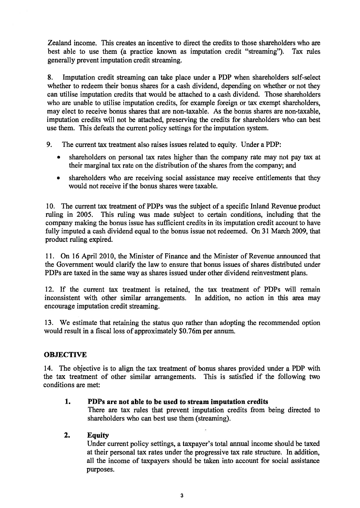**Zealand income. This creates an incentive to direct the credits to those shareholders who are best able to use them (a practice known as imputation credit "streaming"). Tax rules generally prevent imputation credit streaming.** 

**8. Imputation credit streaming can take place under a PDP when shareholders self-select whether to redeem their bonus shares for a cash dividend, depending on whether or not they can utilise imputation credits that would be attached to a cash dividend. Those shareholders who are unable to utilise imputation credits, for example foreign or tax exempt shareholders, may elect to receive bonus shares that are non-taxable. As the bonus shares are non-taxable, imputation credits will not be attached, preserving the credits for shareholders who can best use them. This defeats the current policy settings for the imputation system.** 

- **9. The current tax treatment also raises issues related to equity. Under a PDP:** 
	- shareholders on personal tax rates higher than the company rate may not pay tax at **their marginal tax rate on the distribution of the shares from the company; and**
	- **shareholders who are receiving social assistance may receive entitlements that they would not receive if the bonus shares were taxable.**

**10. The current tax treatment of PDPs was the subject of a specific Inland Revenue product ruling in 2005. This ruling was made subject to certain conditions, including that the company making the bonus issue has sufficient credits in its imputation credit account to have fully imputed a cash dividend equal to the bonus issue not redeemed. On 31 March 2009, that product ruling expired.** 

**11. On 16 April 2010, the Minister of Finance and the Minister of Revenue announced that the Government would clarify the law to ensure that bonus issues of shares distributed under PDPs are taxed in the same way as shares issued under other dividend reinvestment plans.** 

**12. If the current tax treatment is retained, the tax treatment of PDPs will remain inconsistent with other similar arrangements. In addition, no action in this area may encourage imputation credit streaming.** 

**13. We estimate that retaining the status quo rather than adopting the recommended option would result in a fiscal loss of approximately \$0.76m per annum.** 

## **OBJECTIVE**

**14. The objective is to align the tax treatment of bonus shares provided under a PDP with the tax treatment of other similar arrangements. This is satisfied if the following two conditions are met:** 

## **1. PDPs are not able to be used to stream imputation credits**

**There are tax rules that prevent imputation credits from being directed to shareholders who can best use them (streaming).** 

## **2. Equity**

**Under current policy settings, a taxpayer's total annual income should be taxed at their personal tax rates under the progressive tax rate structure. In addition, all the income of taxpayers should be taken into account for social assistance purposes.**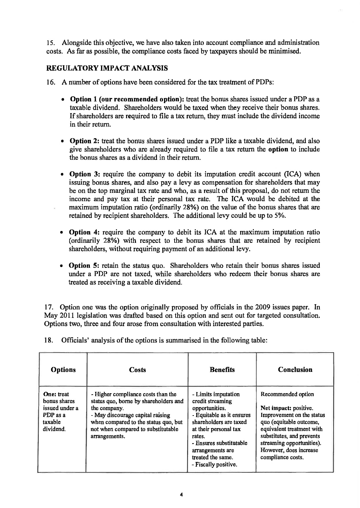**15. Alongside this objective, we have also taken into account compliance and administration costs. As far as possible, the compliance costs faced by taxpayers should be minimised.** 

# **REGULATORY IMPACT ANALYSIS**

- **16. A number of options have been considered for the tax treatment of PDPs:** 
	- **Option 1 (our recommended option): treat the bonus shares issued under a PDP as a taxable dividend. Shareholders would be taxed when they receive their bonus shares. If shareholders are required to file a tax return, they must include the dividend income in their return.**
	- **Option 2: treat the bonus shares issued under a PDP like a taxable dividend, and also give shareholders who are already required to file a tax return the option to include the bonus shares as a dividend in their return.**
	- **Option 3: require the company to debit its imputation credit account (ICA) when issuing bonus shares, and also pay a levy as compensation for shareholders that may be on the top marginal tax rate and who, as a result of this proposal, do not return the income and pay tax at their personal tax rate. The ICA would be debited at the maximum imputation ratio (ordinarily 28%) on the value of the bonus shares that are retained by recipient shareholders. The additional levy could be up to 5%.**
	- **Option 4: require the company to debit its ICA at the maximum imputation ratio (ordinarily 28%) with respect to the bonus shares that are retained by recipient shareholders, without requiring payment of an additional levy.**
	- **Option 5: retain the status quo. Shareholders who retain their bonus shares issued under a PDP are not taxed, while shareholders who redeem their bonus shares are treated as receiving a taxable dividend.**

**17. Option one was the option originally proposed by officials in the 2009 issues paper. In May 2011 legislation was drafted based on this option and sent out for targeted consultation. Options two, three and four arose from consultation with interested parties.** 

| <b>Options</b>                                                                          | Costs                                                                                                                                                                                                                          | <b>Benefits</b>                                                                                                                                                                                                                                 | <b>Conclusion</b>                                                                                                                                                                                                                         |
|-----------------------------------------------------------------------------------------|--------------------------------------------------------------------------------------------------------------------------------------------------------------------------------------------------------------------------------|-------------------------------------------------------------------------------------------------------------------------------------------------------------------------------------------------------------------------------------------------|-------------------------------------------------------------------------------------------------------------------------------------------------------------------------------------------------------------------------------------------|
| <b>One:</b> treat<br>bonus shares<br>issued under a<br>PDP as a<br>taxable<br>dividend. | - Higher compliance costs than the<br>status quo, borne by shareholders and<br>the company.<br>- May discourage capital raising<br>when compared to the status quo, but<br>not when compared to substitutable<br>arrangements. | - Limits imputation<br>credit streaming<br>opportunities.<br>- Equitable as it ensures<br>shareholders are taxed<br>at their personal tax<br>rates.<br>- Ensures substitutable<br>arrangements are<br>treated the same.<br>- Fiscally positive. | Recommended option<br>Net impact: positive.<br>Improvement on the status<br>quo (equitable outcome,<br>equivalent treatment with<br>substitutes, and prevents<br>streaming opportunities).<br>However, does increase<br>compliance costs. |

**18. Officials' analysis of the options is summarised in the following table:**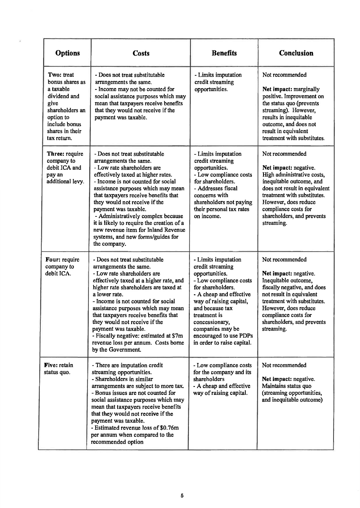| <b>Options</b>                                                                                                                                        | <b>Costs</b>                                                                                                                                                                                                                                                                                                                                                                                                                                                                              | <b>Benefits</b>                                                                                                                                                                                                                                                                                 | <b>Conclusion</b>                                                                                                                                                                                                                                              |
|-------------------------------------------------------------------------------------------------------------------------------------------------------|-------------------------------------------------------------------------------------------------------------------------------------------------------------------------------------------------------------------------------------------------------------------------------------------------------------------------------------------------------------------------------------------------------------------------------------------------------------------------------------------|-------------------------------------------------------------------------------------------------------------------------------------------------------------------------------------------------------------------------------------------------------------------------------------------------|----------------------------------------------------------------------------------------------------------------------------------------------------------------------------------------------------------------------------------------------------------------|
| Two: treat<br>bonus shares as<br>a taxable<br>dividend and<br>give<br>shareholders an<br>option to<br>include bonus<br>shares in their<br>tax return. | - Does not treat substitutable<br>arrangements the same.<br>- Income may not be counted for<br>social assistance purposes which may<br>mean that taxpayers receive benefits<br>that they would not receive if the<br>payment was taxable.                                                                                                                                                                                                                                                 | - Limits imputation<br>credit streaming<br>opportunities.                                                                                                                                                                                                                                       | Not recommended<br>Net impact: marginally<br>positive. Improvement on<br>the status quo (prevents<br>streaming). However,<br>results in inequitable<br>outcome, and does not<br>result in equivalent<br>treatment with substitutes.                            |
| Three: require<br>company to<br>debit ICA and<br>pay an<br>additional levy.                                                                           | - Does not treat substitutable<br>arrangements the same.<br>- Low rate shareholders are<br>effectively taxed at higher rates.<br>- Income is not counted for social<br>assistance purposes which may mean<br>that taxpayers receive benefits that<br>they would not receive if the<br>payment was taxable.<br>- Administratively complex because<br>it is likely to require the creation of a<br>new revenue item for Inland Revenue<br>systems, and new forms/guides for<br>the company. | - Limits imputation<br>credit streaming<br>opportunities.<br>- Low compliance costs<br>for shareholders.<br>- Addresses fiscal<br>concerns with<br>shareholders not paying<br>their personal tax rates<br>on income.                                                                            | Not recommended<br>Net impact: negative.<br>High administrative costs,<br>inequitable outcome, and<br>does not result in equivalent<br>treatment with substitutes.<br>However, does reduce<br>compliance costs for<br>shareholders, and prevents<br>streaming. |
| Four: require<br>company to<br>debit ICA.                                                                                                             | - Does not treat substitutable<br>arrangements the same.<br>- Low rate shareholders are<br>effectively taxed at a higher rate, and<br>higher rate shareholders are taxed at<br>a lower rate.<br>- Income is not counted for social<br>assistance purposes which may mean<br>that taxpayers receive benefits that<br>they would not receive if the<br>payment was taxable.<br>- Fiscally negative: estimated at \$7m<br>revenue loss per annum. Costs borne<br>by the Government.          | - Limits imputation<br>credit streaming<br>opportunities.<br>- Low compliance costs<br>for shareholders.<br>- A cheap and effective<br>way of raising capital,<br>and because tax<br>treatment is<br>concessionary,<br>companies may be<br>encouraged to use PDPs<br>in order to raise capital. | Not recommended<br>Net impact: negative.<br>Inequitable outcome,<br>fiscally negative, and does<br>not result in equivalent<br>treatment with substitutes.<br>However, does reduce<br>compliance costs for<br>shareholders, and prevents<br>streaming.         |
| Five: retain<br>status quo.                                                                                                                           | - There are imputation credit<br>streaming opportunities.<br>- Shareholders in similar<br>arrangements are subject to more tax.<br>- Bonus issues are not counted for<br>social assistance purposes which may<br>mean that taxpayers receive benefits<br>that they would not receive if the<br>payment was taxable.<br>- Estimated revenue loss of \$0.76m<br>per annum when compared to the<br>recommended option                                                                        | - Low compliance costs<br>for the company and its<br>shareholders<br>- A cheap and effective<br>way of raising capital.                                                                                                                                                                         | Not recommended<br>Net impact: negative.<br>Maintains status quo<br>(streaming opportunities,<br>and inequitable outcome)                                                                                                                                      |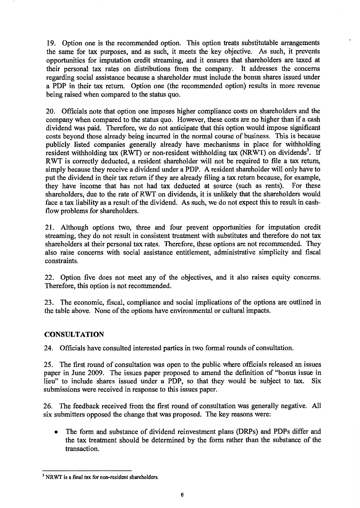**19. Option one is the recommended option. This option treats substitutable arrangements the same for tax purposes, and as such, it meets the key objective. As such, it prevents opportunities for imputation credit streaming, and it ensures that shareholders are taxed at their personal tax rates on distributions from the company. It addresses the concerns regarding social assistance because a shareholder must include the bonus shares issued under a PDP in their tax return. Option one (the recommended option) results in more revenue being raised when compared to the status quo.** 

**20. Officials note that option one imposes higher compliance costs on shareholders and the company when compared to the status quo. However, these costs are no higher than if a cash dividend was paid. Therefore, we do not anticipate that this option would impose significant costs beyond those already being incurred in the normal course of business. This is because publicly listed companies generally already have mechanisms in place for withholding resident withholding tax (RWT) or non-resident withholding tax (NRWT) on dividends<sup>3</sup> . If RWT is correctly deducted, a resident shareholder will not be required to file a tax return, simply because they receive a dividend under a PDP. A resident shareholder will only have to put the dividend in their tax return if they are already filing a tax return because, for example, they have income that has not had tax deducted at source (such as rents). For these shareholders, due to the rate of RWT on dividends, it is unlikely that the shareholders would face a tax liability as a result of the dividend. As such, we do not expect this to result in cashflow problems for shareholders.** 

**21. Although options two, three and four prevent opportunities for imputation credit streaming, they do not result in consistent treatment with substitutes and therefore do not tax shareholders at their personal tax rates. Therefore, these options are not recommended. They also raise concerns with social assistance entitlement, administrative simplicity and fiscal constraints.** 

**22. Option five does not meet any of the objectives, and it also raises equity concerns. Therefore, this option is not recommended.** 

**23. The economic, fiscal, compliance and social implications of the options are outlined in the table above. None of the options have environmental or cultural impacts.** 

## **CONSULTATION**

**24. Officials have consulted interested parties in two formal rounds of consultation.** 

**25. The first round of consultation was open to the public where officials released an issues paper in June 2009. The issues paper proposed to amend the definition of "bonus issue in lieu" to include shares issued under a PDP, so that they would be subject to tax. Six submissions were received in response to this issues paper.** 

**26. The feedback received from the first round of consultation was generally negative. All six submitters opposed the change that was proposed. The key reasons were:** 

**• The form and substance of dividend reinvestment plans (DRPs) and PDPs differ and the tax treatment should be determined by the form rather than the substance of the transaction.** 

**<sup>3</sup> NRWT is a final tax for non-resident shareholders.**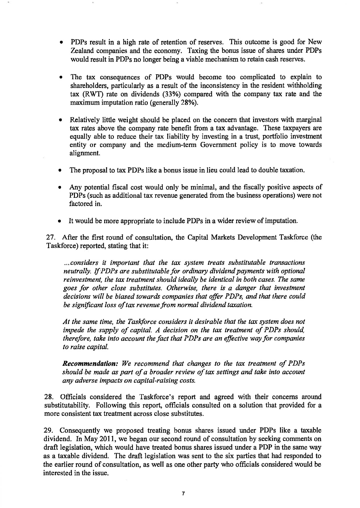- **PDPs result in a high rate of retention of reserves. This outcome is good for New Zealand companies and the economy. Taxing the bonus issue of shares under PDPs would result in PDPs no longer being a viable mechanism to retain cash reserves.**
- **The tax consequences of PDPs would become too complicated to explain to shareholders, particularly as a result of the inconsistency in the resident withholding tax (RWT) rate on dividends (33%) compared with the company tax rate and the maximum imputation ratio (generally 28%).**
- **Relatively little weight should be placed on the concern that investors with marginal tax rates above the company rate benefit from a tax advantage. These taxpayers are equally able to reduce their tax liability by investing in a trust, portfolio investment entity or company and the medium-term Government policy is to move towards alignment.**
- **The proposal to tax PDPs like a bonus issue in lieu could lead to double taxation.**
- **Any potential fiscal cost would only be minimal, and the fiscally positive aspects of PDPs (such as additional tax revenue generated from the business operations) were not factored in.**
- **It would be more appropriate to include PDPs in a wider review of imputation.**

**27. After the first round of consultation, the Capital Markets Development Taskforce (the Taskforce) reported, stating that it:** 

*...considers it important that the tax system treats substitutable transactions neutrally. If PDPs are substitutable for ordinary dividend payments with optional reinvestment, the tax treatment should ideally be identical in both cases. The same goes for other close substitutes. Otherwise, there is a danger that investment decisions will be biased towards companies that offer PDPs, and that there could be significant loss of tax revenue from normal dividend taxation.* 

*At the same time, the Taskforce considers it desirable that the tax system does not impede the supply of capital. A decision on the tax treatment of PDPs should, therefore, take into account the fact that PDPs are an effective way for companies to raise capital.* 

*Recommendation: We recommend that changes to the tax treatment of PDPs should be made as part of a broader review of tax settings and take into account any adverse impacts on capital-raising costs.* 

**28. Officials considered the Taskforce's report and agreed with their concerns around substitutability. Following this report, officials consulted on a solution that provided for a more consistent tax treatment across close substitutes.** 

**29. Consequently we proposed treating bonus shares issued under PDPs like a taxable dividend. In May 2011, we began our second round of consultation by seeking comments on draft legislation, which would have treated bonus shares issued under a PDP in the same way as a taxable dividend. The draft legislation was sent to the six parties that had responded to the earlier round of consultation, as well as one other party who officials considered would be interested in the issue.**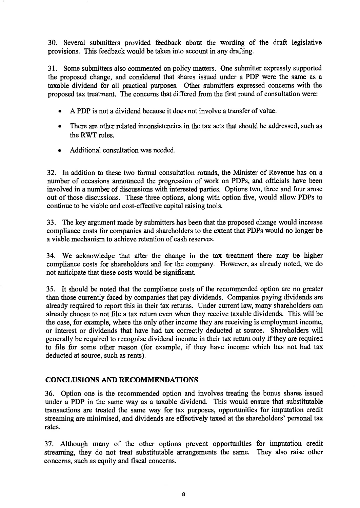**30. Several submitters provided feedback about the wording of the draft legislative provisions. This feedback would be taken into account in any drafting.** 

**31. Some submitters also commented on policy matters. One submitter expressly supported the proposed change, and considered that shares issued under a PDP were the same as a taxable dividend for all practical purposes. Other submitters expressed concerns with the proposed tax treatment. The concerns that differed from the first round of consultation were:** 

- **A PDP is not a dividend because it does not involve a transfer of value.**
- There are other related inconsistencies in the tax acts that should be addressed, such as **the RWT rules.**
- **Additional consultation was needed.**

**32. In addition to these two formal consultation rounds, the Minister of Revenue has on a number of occasions announced the progression of work on PDPs, and officials have been involved in a number of discussions with interested parties. Options two, three and four arose out of those discussions. These three options, along with option five, would allow PDPs to continue to be viable and cost-effective capital raising tools.** 

**33. The key argument made by submitters has been that the proposed change would increase compliance costs for companies and shareholders to the extent that PDPs would no longer be a viable mechanism to achieve retention of cash reserves.** 

**34. We acknowledge that after the change in the tax treatment there may be higher compliance costs for shareholders and for the company. However, as already noted, we do not anticipate that these costs would be significant.** 

**35. It should be noted that the compliance costs of the recommended option are no greater than those currently faced by companies that pay dividends. Companies paying dividends are already required to report this in their tax returns. Under current law, many shareholders can already choose to not file a tax return even when they receive taxable dividends. This will be the case, for example, where the only other income they are receiving is employment income, or interest or dividends that have had tax correctly deducted at source. Shareholders will generally be required to recognise dividend income in their tax return only if they are required to file for some other reason (for example, if they have income which has not had tax deducted at source, such as rents).** 

## **CONCLUSIONS AND RECOMMENDATIONS**

**36. Option one is the recommended option and involves treating the bonus shares issued under a PDP in the same way as a taxable dividend. This would ensure that substitutable transactions are treated the same way for tax purposes, opportunities for imputation credit streaming are minimised, and dividends are effectively taxed at the shareholders' personal tax rates.** 

**37. Although many of the other options prevent opportunities for imputation credit streaming, they do not treat substitutable arrangements the same. They also raise other concerns, such as equity and fiscal concerns.**